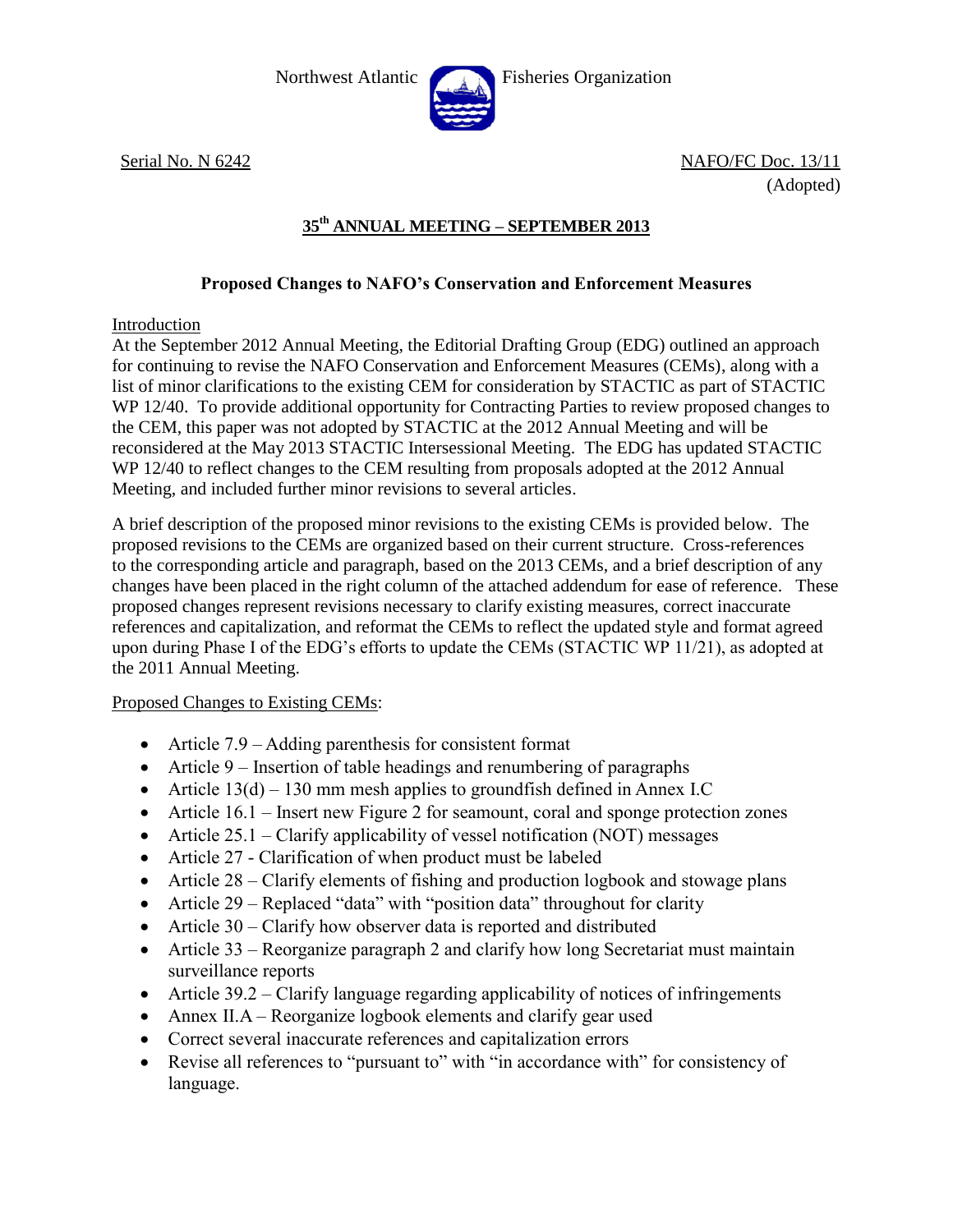

Northwest Atlantic Fisheries Organization

Serial No. N 6242 NAFO/FC Doc. 13/11 (Adopted)

# **35th ANNUAL MEETING – SEPTEMBER 2013**

## **Proposed Changes to NAFO's Conservation and Enforcement Measures**

### Introduction

At the September 2012 Annual Meeting, the Editorial Drafting Group (EDG) outlined an approach for continuing to revise the NAFO Conservation and Enforcement Measures (CEMs), along with a list of minor clarifications to the existing CEM for consideration by STACTIC as part of STACTIC WP 12/40. To provide additional opportunity for Contracting Parties to review proposed changes to the CEM, this paper was not adopted by STACTIC at the 2012 Annual Meeting and will be reconsidered at the May 2013 STACTIC Intersessional Meeting. The EDG has updated STACTIC WP 12/40 to reflect changes to the CEM resulting from proposals adopted at the 2012 Annual Meeting, and included further minor revisions to several articles.

A brief description of the proposed minor revisions to the existing CEMs is provided below. The proposed revisions to the CEMs are organized based on their current structure. Cross-references to the corresponding article and paragraph, based on the 2013 CEMs, and a brief description of any changes have been placed in the right column of the attached addendum for ease of reference. These proposed changes represent revisions necessary to clarify existing measures, correct inaccurate references and capitalization, and reformat the CEMs to reflect the updated style and format agreed upon during Phase I of the EDG's efforts to update the CEMs (STACTIC WP 11/21), as adopted at the 2011 Annual Meeting.

### Proposed Changes to Existing CEMs:

- Article 7.9 Adding parenthesis for consistent format
- Article 9 Insertion of table headings and renumbering of paragraphs
- Article  $13(d) 130$  mm mesh applies to groundfish defined in Annex I.C
- Article 16.1 Insert new Figure 2 for seamount, coral and sponge protection zones
- Article 25.1 Clarify applicability of vessel notification (NOT) messages
- Article 27 Clarification of when product must be labeled
- Article 28 Clarify elements of fishing and production logbook and stowage plans
- Article 29 Replaced "data" with "position data" throughout for clarity
- Article 30 Clarify how observer data is reported and distributed
- Article 33 Reorganize paragraph 2 and clarify how long Secretariat must maintain surveillance reports
- Article 39.2 Clarify language regarding applicability of notices of infringements
- Annex II.A Reorganize logbook elements and clarify gear used
- Correct several inaccurate references and capitalization errors
- Revise all references to "pursuant to" with "in accordance with" for consistency of language.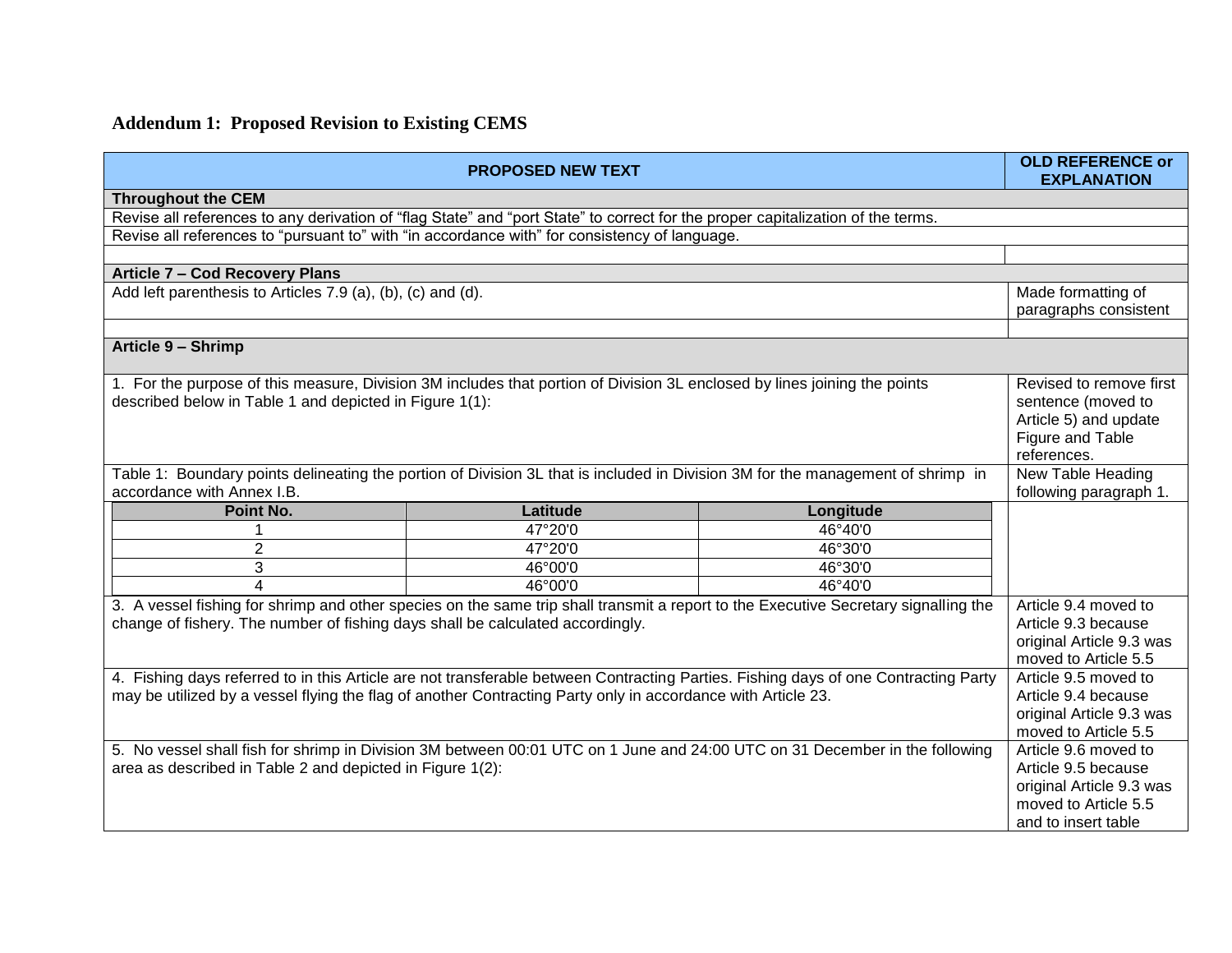# **Addendum 1: Proposed Revision to Existing CEMS**

| <b>PROPOSED NEW TEXT</b>                                                                                                            |                          | <b>OLD REFERENCE or</b><br><b>EXPLANATION</b>                                                                                       |                          |  |
|-------------------------------------------------------------------------------------------------------------------------------------|--------------------------|-------------------------------------------------------------------------------------------------------------------------------------|--------------------------|--|
| <b>Throughout the CEM</b>                                                                                                           |                          |                                                                                                                                     |                          |  |
| Revise all references to any derivation of "flag State" and "port State" to correct for the proper capitalization of the terms.     |                          |                                                                                                                                     |                          |  |
| Revise all references to "pursuant to" with "in accordance with" for consistency of language.                                       |                          |                                                                                                                                     |                          |  |
|                                                                                                                                     |                          |                                                                                                                                     |                          |  |
| Article 7 - Cod Recovery Plans                                                                                                      |                          |                                                                                                                                     |                          |  |
| Add left parenthesis to Articles 7.9 (a), (b), (c) and (d).                                                                         |                          |                                                                                                                                     | Made formatting of       |  |
|                                                                                                                                     |                          |                                                                                                                                     | paragraphs consistent    |  |
|                                                                                                                                     |                          |                                                                                                                                     |                          |  |
| Article 9 - Shrimp                                                                                                                  |                          |                                                                                                                                     |                          |  |
| 1. For the purpose of this measure, Division 3M includes that portion of Division 3L enclosed by lines joining the points           |                          |                                                                                                                                     | Revised to remove first  |  |
| described below in Table 1 and depicted in Figure 1(1):                                                                             |                          |                                                                                                                                     | sentence (moved to       |  |
|                                                                                                                                     |                          |                                                                                                                                     | Article 5) and update    |  |
|                                                                                                                                     |                          |                                                                                                                                     | Figure and Table         |  |
|                                                                                                                                     |                          |                                                                                                                                     | references.              |  |
| Table 1: Boundary points delineating the portion of Division 3L that is included in Division 3M for the management of shrimp in     |                          |                                                                                                                                     | New Table Heading        |  |
| accordance with Annex I.B.                                                                                                          |                          |                                                                                                                                     | following paragraph 1.   |  |
| Point No.                                                                                                                           | Latitude                 | Longitude                                                                                                                           |                          |  |
|                                                                                                                                     | 47°20'0                  | 46°40'0                                                                                                                             |                          |  |
| $\overline{c}$                                                                                                                      | $\overline{47}$ °20'0    | 46°30'0                                                                                                                             |                          |  |
| 3                                                                                                                                   | 46°00'0                  | 46°30'0                                                                                                                             |                          |  |
| $\boldsymbol{\Lambda}$                                                                                                              | 46°00'0                  | 46°40'0                                                                                                                             |                          |  |
| 3. A vessel fishing for shrimp and other species on the same trip shall transmit a report to the Executive Secretary signalling the |                          |                                                                                                                                     | Article 9.4 moved to     |  |
| change of fishery. The number of fishing days shall be calculated accordingly.                                                      |                          |                                                                                                                                     | Article 9.3 because      |  |
|                                                                                                                                     |                          |                                                                                                                                     | original Article 9.3 was |  |
|                                                                                                                                     |                          |                                                                                                                                     | moved to Article 5.5     |  |
|                                                                                                                                     |                          | 4. Fishing days referred to in this Article are not transferable between Contracting Parties. Fishing days of one Contracting Party | Article 9.5 moved to     |  |
| may be utilized by a vessel flying the flag of another Contracting Party only in accordance with Article 23.                        |                          |                                                                                                                                     | Article 9.4 because      |  |
|                                                                                                                                     | original Article 9.3 was |                                                                                                                                     |                          |  |
|                                                                                                                                     |                          |                                                                                                                                     | moved to Article 5.5     |  |
| 5. No vessel shall fish for shrimp in Division 3M between 00:01 UTC on 1 June and 24:00 UTC on 31 December in the following         |                          |                                                                                                                                     | Article 9.6 moved to     |  |
| area as described in Table 2 and depicted in Figure 1(2):                                                                           |                          |                                                                                                                                     | Article 9.5 because      |  |
|                                                                                                                                     | original Article 9.3 was |                                                                                                                                     |                          |  |
|                                                                                                                                     |                          |                                                                                                                                     | moved to Article 5.5     |  |
|                                                                                                                                     |                          |                                                                                                                                     | and to insert table      |  |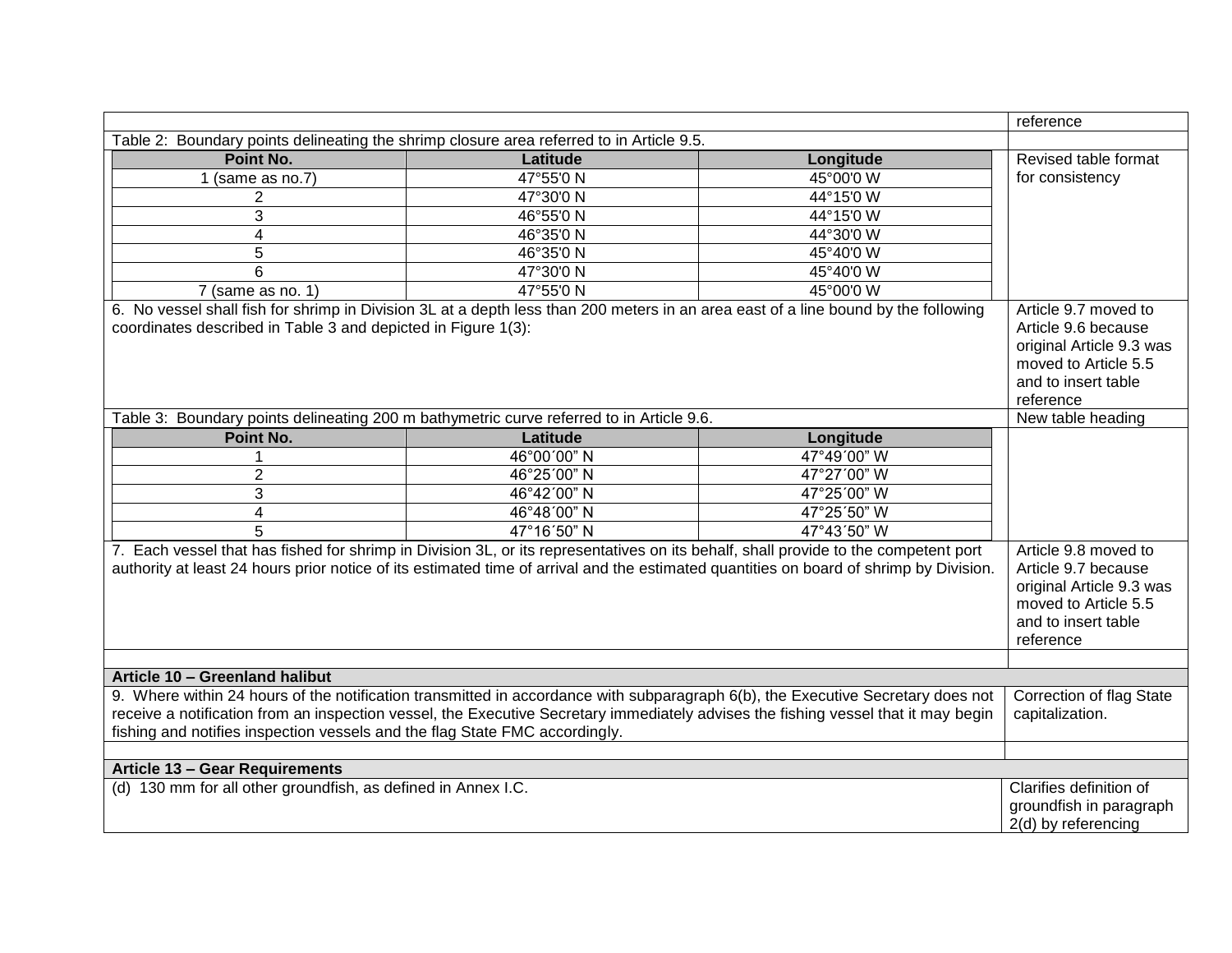|                                                                                                                                                                                                                                                                                                                                                      |                                                                                                                                     |             | reference                                                                                                                           |
|------------------------------------------------------------------------------------------------------------------------------------------------------------------------------------------------------------------------------------------------------------------------------------------------------------------------------------------------------|-------------------------------------------------------------------------------------------------------------------------------------|-------------|-------------------------------------------------------------------------------------------------------------------------------------|
| Table 2: Boundary points delineating the shrimp closure area referred to in Article 9.5.                                                                                                                                                                                                                                                             |                                                                                                                                     |             |                                                                                                                                     |
| Point No.                                                                                                                                                                                                                                                                                                                                            | Latitude                                                                                                                            | Longitude   | Revised table format                                                                                                                |
| $1$ (same as no.7)                                                                                                                                                                                                                                                                                                                                   | 47°55'0N                                                                                                                            | 45°00'0 W   | for consistency                                                                                                                     |
| 2                                                                                                                                                                                                                                                                                                                                                    | 47°30'0 N                                                                                                                           | 44°15'0 W   |                                                                                                                                     |
| 3                                                                                                                                                                                                                                                                                                                                                    | 46°55'0N                                                                                                                            | 44°15'0 W   |                                                                                                                                     |
| $\overline{4}$                                                                                                                                                                                                                                                                                                                                       | 46°35'0N                                                                                                                            | 44°30'0 W   |                                                                                                                                     |
| 5                                                                                                                                                                                                                                                                                                                                                    | 46°35'0N                                                                                                                            | 45°40'0 W   |                                                                                                                                     |
| $\overline{6}$                                                                                                                                                                                                                                                                                                                                       | 47°30'0N                                                                                                                            | 45°40'0 W   |                                                                                                                                     |
| $7$ (same as no. 1)                                                                                                                                                                                                                                                                                                                                  | 47°55'0N                                                                                                                            | 45°00'0 W   |                                                                                                                                     |
| 6. No vessel shall fish for shrimp in Division 3L at a depth less than 200 meters in an area east of a line bound by the following<br>coordinates described in Table 3 and depicted in Figure 1(3):                                                                                                                                                  |                                                                                                                                     |             | Article 9.7 moved to<br>Article 9.6 because<br>original Article 9.3 was<br>moved to Article 5.5<br>and to insert table<br>reference |
| Table 3: Boundary points delineating 200 m bathymetric curve referred to in Article 9.6.                                                                                                                                                                                                                                                             |                                                                                                                                     |             | New table heading                                                                                                                   |
| Point No.                                                                                                                                                                                                                                                                                                                                            | Latitude                                                                                                                            | Longitude   |                                                                                                                                     |
|                                                                                                                                                                                                                                                                                                                                                      | 46°00'00" N                                                                                                                         | 47°49'00" W |                                                                                                                                     |
| $\overline{2}$                                                                                                                                                                                                                                                                                                                                       | 46°25'00" N                                                                                                                         | 47°27'00" W |                                                                                                                                     |
| 3                                                                                                                                                                                                                                                                                                                                                    | 46°42'00" N                                                                                                                         | 47°25'00" W |                                                                                                                                     |
| 4                                                                                                                                                                                                                                                                                                                                                    | 46°48'00" N                                                                                                                         | 47°25'50" W |                                                                                                                                     |
| 5                                                                                                                                                                                                                                                                                                                                                    | 47°16'50" N                                                                                                                         | 47°43'50" W |                                                                                                                                     |
| 7. Each vessel that has fished for shrimp in Division 3L, or its representatives on its behalf, shall provide to the competent port<br>authority at least 24 hours prior notice of its estimated time of arrival and the estimated quantities on board of shrimp by Division.                                                                        | Article 9.8 moved to<br>Article 9.7 because<br>original Article 9.3 was<br>moved to Article 5.5<br>and to insert table<br>reference |             |                                                                                                                                     |
| Article 10 - Greenland halibut                                                                                                                                                                                                                                                                                                                       |                                                                                                                                     |             |                                                                                                                                     |
| 9. Where within 24 hours of the notification transmitted in accordance with subparagraph 6(b), the Executive Secretary does not<br>receive a notification from an inspection vessel, the Executive Secretary immediately advises the fishing vessel that it may begin<br>fishing and notifies inspection vessels and the flag State FMC accordingly. |                                                                                                                                     |             | <b>Correction of flag State</b><br>capitalization.                                                                                  |
| Article 13 - Gear Requirements                                                                                                                                                                                                                                                                                                                       |                                                                                                                                     |             |                                                                                                                                     |
| (d) 130 mm for all other groundfish, as defined in Annex I.C.                                                                                                                                                                                                                                                                                        |                                                                                                                                     |             | Clarifies definition of<br>groundfish in paragraph<br>2(d) by referencing                                                           |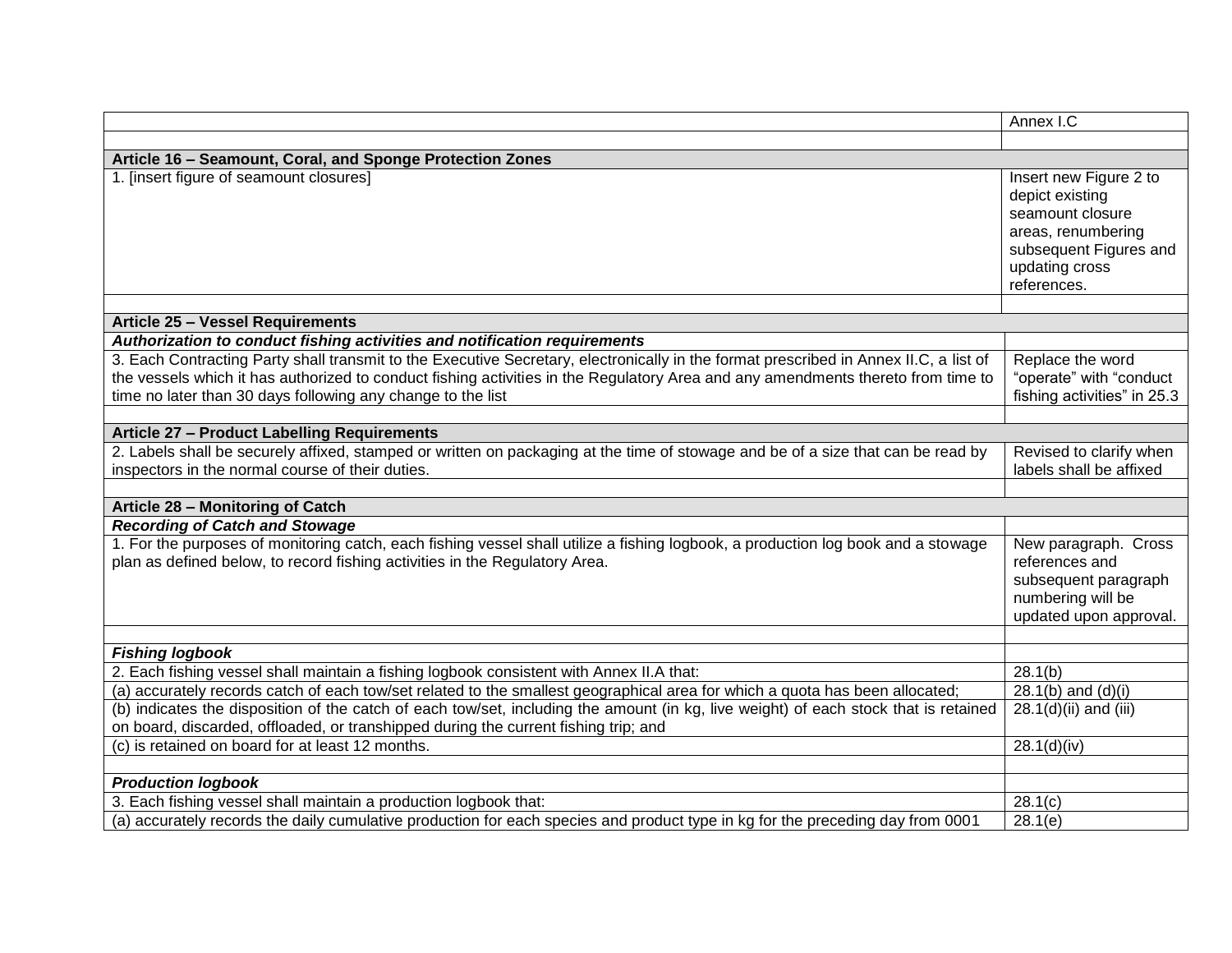|                                                                                                                                                                                                                                                                                                                                          | Annex I.C                                                                                                                                      |  |
|------------------------------------------------------------------------------------------------------------------------------------------------------------------------------------------------------------------------------------------------------------------------------------------------------------------------------------------|------------------------------------------------------------------------------------------------------------------------------------------------|--|
|                                                                                                                                                                                                                                                                                                                                          |                                                                                                                                                |  |
| Article 16 - Seamount, Coral, and Sponge Protection Zones                                                                                                                                                                                                                                                                                |                                                                                                                                                |  |
| 1. [insert figure of seamount closures]                                                                                                                                                                                                                                                                                                  | Insert new Figure 2 to<br>depict existing<br>seamount closure<br>areas, renumbering<br>subsequent Figures and<br>updating cross<br>references. |  |
|                                                                                                                                                                                                                                                                                                                                          |                                                                                                                                                |  |
| <b>Article 25 - Vessel Requirements</b>                                                                                                                                                                                                                                                                                                  |                                                                                                                                                |  |
| Authorization to conduct fishing activities and notification requirements                                                                                                                                                                                                                                                                |                                                                                                                                                |  |
| 3. Each Contracting Party shall transmit to the Executive Secretary, electronically in the format prescribed in Annex II.C, a list of<br>the vessels which it has authorized to conduct fishing activities in the Regulatory Area and any amendments thereto from time to<br>time no later than 30 days following any change to the list | Replace the word<br>"operate" with "conduct<br>fishing activities" in 25.3                                                                     |  |
| Article 27 - Product Labelling Requirements                                                                                                                                                                                                                                                                                              |                                                                                                                                                |  |
| 2. Labels shall be securely affixed, stamped or written on packaging at the time of stowage and be of a size that can be read by<br>inspectors in the normal course of their duties.                                                                                                                                                     | Revised to clarify when<br>labels shall be affixed                                                                                             |  |
| Article 28 - Monitoring of Catch                                                                                                                                                                                                                                                                                                         |                                                                                                                                                |  |
| <b>Recording of Catch and Stowage</b><br>1. For the purposes of monitoring catch, each fishing vessel shall utilize a fishing logbook, a production log book and a stowage<br>plan as defined below, to record fishing activities in the Regulatory Area.                                                                                | New paragraph. Cross<br>references and<br>subsequent paragraph<br>numbering will be<br>updated upon approval.                                  |  |
|                                                                                                                                                                                                                                                                                                                                          |                                                                                                                                                |  |
| <b>Fishing logbook</b>                                                                                                                                                                                                                                                                                                                   | 28.1(b)                                                                                                                                        |  |
| 2. Each fishing vessel shall maintain a fishing logbook consistent with Annex II.A that:<br>(a) accurately records catch of each tow/set related to the smallest geographical area for which a quota has been allocated;                                                                                                                 | 28.1(b) and $(d)(i)$                                                                                                                           |  |
| (b) indicates the disposition of the catch of each tow/set, including the amount (in kg, live weight) of each stock that is retained<br>on board, discarded, offloaded, or transhipped during the current fishing trip; and                                                                                                              | 28.1(d)(ii) and (iii)                                                                                                                          |  |
| (c) is retained on board for at least 12 months.                                                                                                                                                                                                                                                                                         | 28.1(d)(iv)                                                                                                                                    |  |
|                                                                                                                                                                                                                                                                                                                                          |                                                                                                                                                |  |
| <b>Production logbook</b>                                                                                                                                                                                                                                                                                                                |                                                                                                                                                |  |
| 3. Each fishing vessel shall maintain a production logbook that:                                                                                                                                                                                                                                                                         | 28.1(c)                                                                                                                                        |  |
| (a) accurately records the daily cumulative production for each species and product type in kg for the preceding day from 0001                                                                                                                                                                                                           | 28.1(e)                                                                                                                                        |  |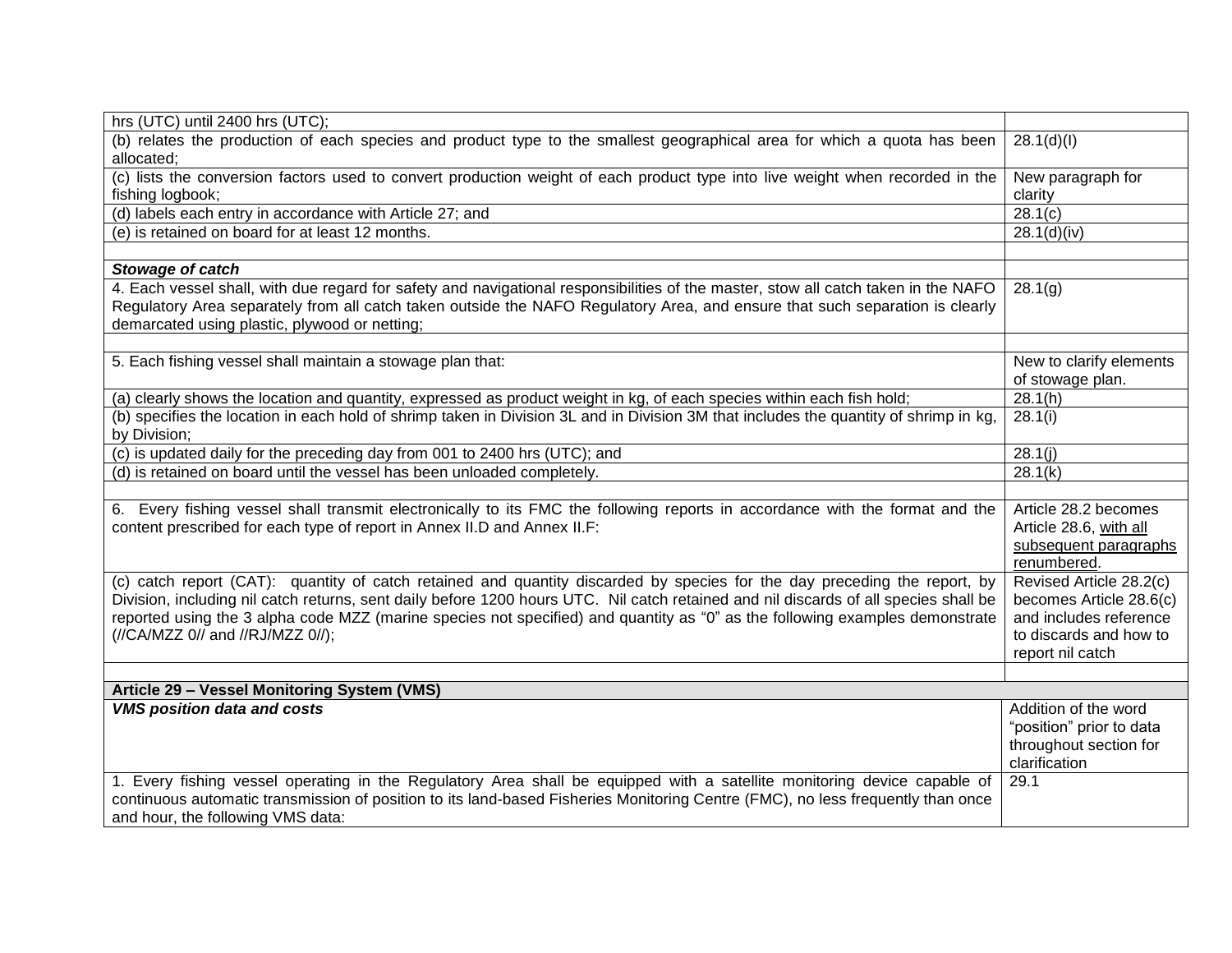| hrs (UTC) until 2400 hrs (UTC);                                                                                                       |                          |
|---------------------------------------------------------------------------------------------------------------------------------------|--------------------------|
| (b) relates the production of each species and product type to the smallest geographical area for which a quota has been              | 28.1(d)(I)               |
| allocated;                                                                                                                            |                          |
| (c) lists the conversion factors used to convert production weight of each product type into live weight when recorded in the         | New paragraph for        |
| fishing logbook;                                                                                                                      | clarity                  |
| (d) labels each entry in accordance with Article 27; and                                                                              | 28.1(c)                  |
| (e) is retained on board for at least 12 months.                                                                                      | 28.1(d)(iv)              |
|                                                                                                                                       |                          |
| Stowage of catch                                                                                                                      |                          |
| 4. Each vessel shall, with due regard for safety and navigational responsibilities of the master, stow all catch taken in the NAFO    | 28.1(g)                  |
| Regulatory Area separately from all catch taken outside the NAFO Regulatory Area, and ensure that such separation is clearly          |                          |
| demarcated using plastic, plywood or netting;                                                                                         |                          |
|                                                                                                                                       |                          |
| 5. Each fishing vessel shall maintain a stowage plan that:                                                                            | New to clarify elements  |
|                                                                                                                                       | of stowage plan.         |
| (a) clearly shows the location and quantity, expressed as product weight in kg, of each species within each fish hold;                | 28.1(h)                  |
| (b) specifies the location in each hold of shrimp taken in Division 3L and in Division 3M that includes the quantity of shrimp in kg, | 28.1(i)                  |
| by Division;                                                                                                                          |                          |
| (c) is updated daily for the preceding day from 001 to 2400 hrs (UTC); and                                                            | 28.1(j)                  |
| (d) is retained on board until the vessel has been unloaded completely.                                                               | 28.1(k)                  |
|                                                                                                                                       |                          |
| 6. Every fishing vessel shall transmit electronically to its FMC the following reports in accordance with the format and the          | Article 28.2 becomes     |
| content prescribed for each type of report in Annex II.D and Annex II.F:                                                              | Article 28.6, with all   |
|                                                                                                                                       | subsequent paragraphs    |
|                                                                                                                                       | renumbered.              |
| (c) catch report (CAT): quantity of catch retained and quantity discarded by species for the day preceding the report, by             | Revised Article 28.2(c)  |
| Division, including nil catch returns, sent daily before 1200 hours UTC. Nil catch retained and nil discards of all species shall be  | becomes Article 28.6(c)  |
| reported using the 3 alpha code MZZ (marine species not specified) and quantity as "0" as the following examples demonstrate          | and includes reference   |
| (//CA/MZZ 0// and //RJ/MZZ 0//);                                                                                                      | to discards and how to   |
|                                                                                                                                       | report nil catch         |
|                                                                                                                                       |                          |
| Article 29 - Vessel Monitoring System (VMS)                                                                                           |                          |
| <b>VMS position data and costs</b>                                                                                                    | Addition of the word     |
|                                                                                                                                       | "position" prior to data |
|                                                                                                                                       | throughout section for   |
|                                                                                                                                       | clarification            |
| 1. Every fishing vessel operating in the Regulatory Area shall be equipped with a satellite monitoring device capable of              | 29.1                     |
| continuous automatic transmission of position to its land-based Fisheries Monitoring Centre (FMC), no less frequently than once       |                          |
| and hour, the following VMS data:                                                                                                     |                          |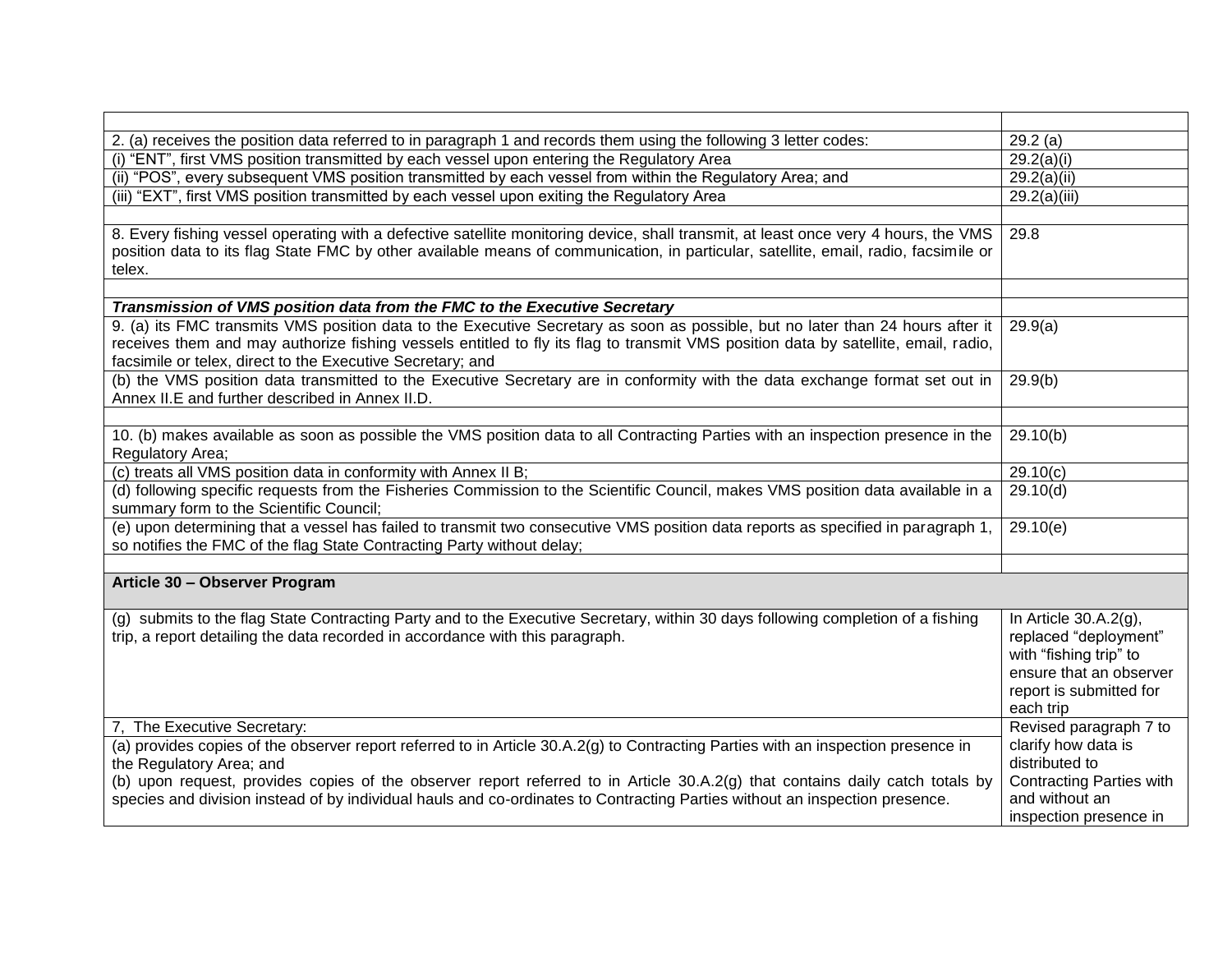| 2. (a) receives the position data referred to in paragraph 1 and records them using the following 3 letter codes:                                                                                                                                                                                                                  | 29.2(a)                                                                                                                                        |
|------------------------------------------------------------------------------------------------------------------------------------------------------------------------------------------------------------------------------------------------------------------------------------------------------------------------------------|------------------------------------------------------------------------------------------------------------------------------------------------|
| (i) "ENT", first VMS position transmitted by each vessel upon entering the Regulatory Area                                                                                                                                                                                                                                         | 29.2(a)(i)                                                                                                                                     |
| (ii) "POS", every subsequent VMS position transmitted by each vessel from within the Regulatory Area; and                                                                                                                                                                                                                          | 29.2(a)(ii)                                                                                                                                    |
| (iii) "EXT", first VMS position transmitted by each vessel upon exiting the Regulatory Area                                                                                                                                                                                                                                        | 29.2(a)(iii)                                                                                                                                   |
|                                                                                                                                                                                                                                                                                                                                    |                                                                                                                                                |
| 8. Every fishing vessel operating with a defective satellite monitoring device, shall transmit, at least once very 4 hours, the VMS<br>position data to its flag State FMC by other available means of communication, in particular, satellite, email, radio, facsimile or<br>telex.                                               | $29.\overline{8}$                                                                                                                              |
|                                                                                                                                                                                                                                                                                                                                    |                                                                                                                                                |
| Transmission of VMS position data from the FMC to the Executive Secretary                                                                                                                                                                                                                                                          |                                                                                                                                                |
| 9. (a) its FMC transmits VMS position data to the Executive Secretary as soon as possible, but no later than 24 hours after it<br>receives them and may authorize fishing vessels entitled to fly its flag to transmit VMS position data by satellite, email, radio,<br>facsimile or telex, direct to the Executive Secretary; and | 29.9(a)                                                                                                                                        |
| (b) the VMS position data transmitted to the Executive Secretary are in conformity with the data exchange format set out in<br>Annex II.E and further described in Annex II.D.                                                                                                                                                     | 29.9(b)                                                                                                                                        |
|                                                                                                                                                                                                                                                                                                                                    |                                                                                                                                                |
| 10. (b) makes available as soon as possible the VMS position data to all Contracting Parties with an inspection presence in the<br>Regulatory Area;                                                                                                                                                                                | 29.10(b)                                                                                                                                       |
| (c) treats all VMS position data in conformity with Annex II B;                                                                                                                                                                                                                                                                    | 29.10(c)                                                                                                                                       |
| (d) following specific requests from the Fisheries Commission to the Scientific Council, makes VMS position data available in a<br>summary form to the Scientific Council;                                                                                                                                                         | 29.10(d)                                                                                                                                       |
| (e) upon determining that a vessel has failed to transmit two consecutive VMS position data reports as specified in paragraph 1,<br>so notifies the FMC of the flag State Contracting Party without delay;                                                                                                                         | 29.10(e)                                                                                                                                       |
|                                                                                                                                                                                                                                                                                                                                    |                                                                                                                                                |
| Article 30 - Observer Program                                                                                                                                                                                                                                                                                                      |                                                                                                                                                |
| (g) submits to the flag State Contracting Party and to the Executive Secretary, within 30 days following completion of a fishing<br>trip, a report detailing the data recorded in accordance with this paragraph.                                                                                                                  | In Article $30.A.2(q)$ ,<br>replaced "deployment"<br>with "fishing trip" to<br>ensure that an observer<br>report is submitted for<br>each trip |
| 7. The Executive Secretary:                                                                                                                                                                                                                                                                                                        | Revised paragraph 7 to                                                                                                                         |
| (a) provides copies of the observer report referred to in Article 30.A.2(g) to Contracting Parties with an inspection presence in<br>the Regulatory Area; and                                                                                                                                                                      | clarify how data is<br>distributed to                                                                                                          |
| (b) upon request, provides copies of the observer report referred to in Article 30.A.2(g) that contains daily catch totals by<br>species and division instead of by individual hauls and co-ordinates to Contracting Parties without an inspection presence.                                                                       | <b>Contracting Parties with</b><br>and without an                                                                                              |
|                                                                                                                                                                                                                                                                                                                                    | inspection presence in                                                                                                                         |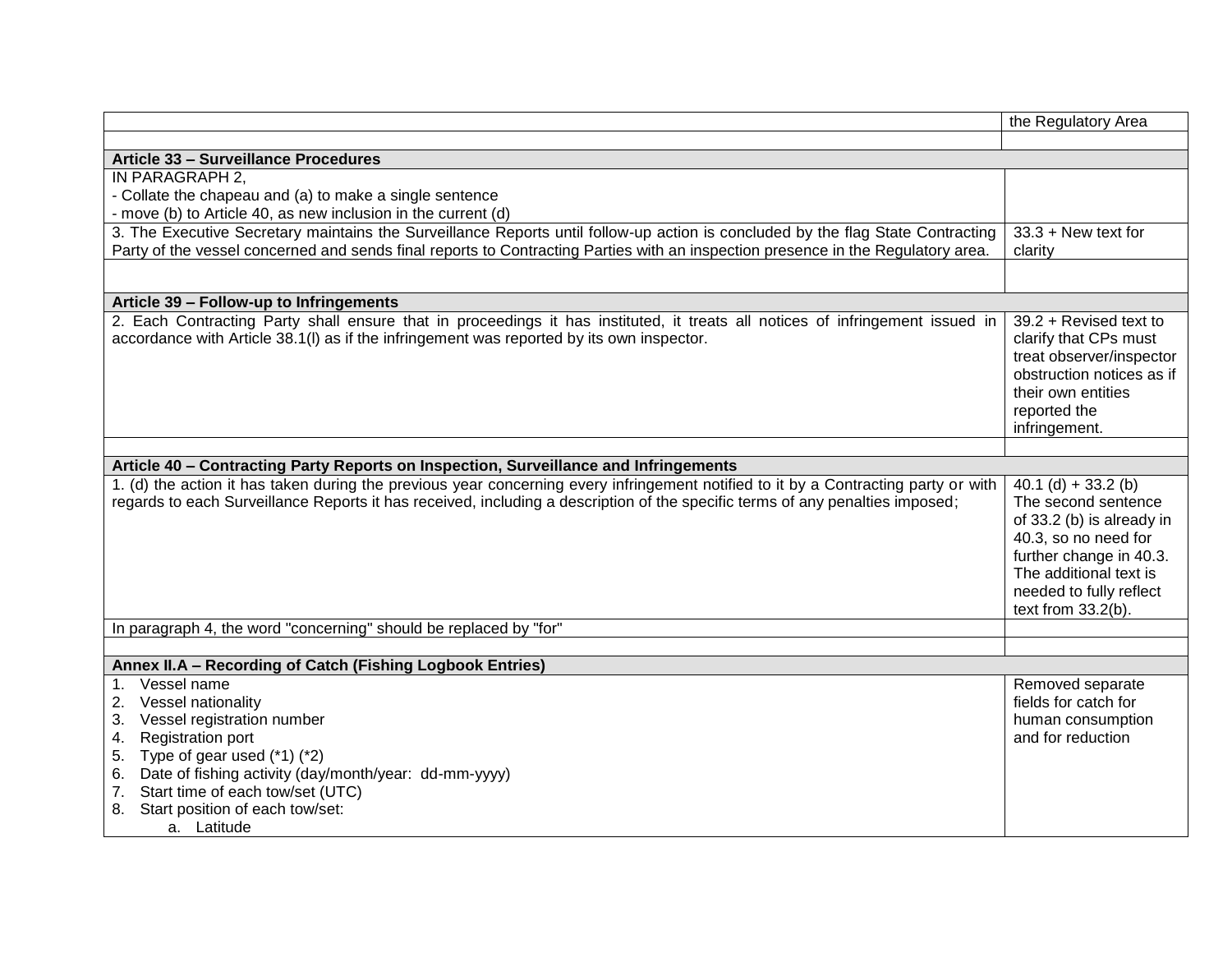|                                                                                                                                     | the Regulatory Area       |
|-------------------------------------------------------------------------------------------------------------------------------------|---------------------------|
|                                                                                                                                     |                           |
| Article 33 - Surveillance Procedures                                                                                                |                           |
| IN PARAGRAPH 2.                                                                                                                     |                           |
| - Collate the chapeau and (a) to make a single sentence                                                                             |                           |
| - move (b) to Article 40, as new inclusion in the current (d)                                                                       |                           |
| 3. The Executive Secretary maintains the Surveillance Reports until follow-up action is concluded by the flag State Contracting     | $33.3 +$ New text for     |
| Party of the vessel concerned and sends final reports to Contracting Parties with an inspection presence in the Regulatory area.    | clarity                   |
|                                                                                                                                     |                           |
| Article 39 - Follow-up to Infringements                                                                                             |                           |
| 2. Each Contracting Party shall ensure that in proceedings it has instituted, it treats all notices of infringement issued in       | 39.2 + Revised text to    |
| accordance with Article 38.1(I) as if the infringement was reported by its own inspector.                                           | clarify that CPs must     |
|                                                                                                                                     | treat observer/inspector  |
|                                                                                                                                     | obstruction notices as if |
|                                                                                                                                     | their own entities        |
|                                                                                                                                     | reported the              |
|                                                                                                                                     | infringement.             |
|                                                                                                                                     |                           |
| Article 40 - Contracting Party Reports on Inspection, Surveillance and Infringements                                                |                           |
| 1. (d) the action it has taken during the previous year concerning every infringement notified to it by a Contracting party or with | $40.1$ (d) + 33.2 (b)     |
| regards to each Surveillance Reports it has received, including a description of the specific terms of any penalties imposed;       | The second sentence       |
|                                                                                                                                     | of 33.2 (b) is already in |
|                                                                                                                                     | 40.3, so no need for      |
|                                                                                                                                     | further change in 40.3.   |
|                                                                                                                                     | The additional text is    |
|                                                                                                                                     | needed to fully reflect   |
|                                                                                                                                     | text from $33.2(b)$ .     |
| In paragraph 4, the word "concerning" should be replaced by "for"                                                                   |                           |
| Annex II.A - Recording of Catch (Fishing Logbook Entries)                                                                           |                           |
| Vessel name<br>$1_{-}$                                                                                                              | Removed separate          |
| Vessel nationality<br>2.                                                                                                            | fields for catch for      |
| Vessel registration number<br>3.                                                                                                    | human consumption         |
| <b>Registration port</b><br>4.                                                                                                      | and for reduction         |
| 5. Type of gear used $(*1)$ $(*2)$                                                                                                  |                           |
| 6. Date of fishing activity (day/month/year: dd-mm-yyyy)                                                                            |                           |
|                                                                                                                                     |                           |
|                                                                                                                                     |                           |
| a. Latitude                                                                                                                         |                           |
| 7. Start time of each tow/set (UTC)<br>8. Start position of each tow/set:                                                           |                           |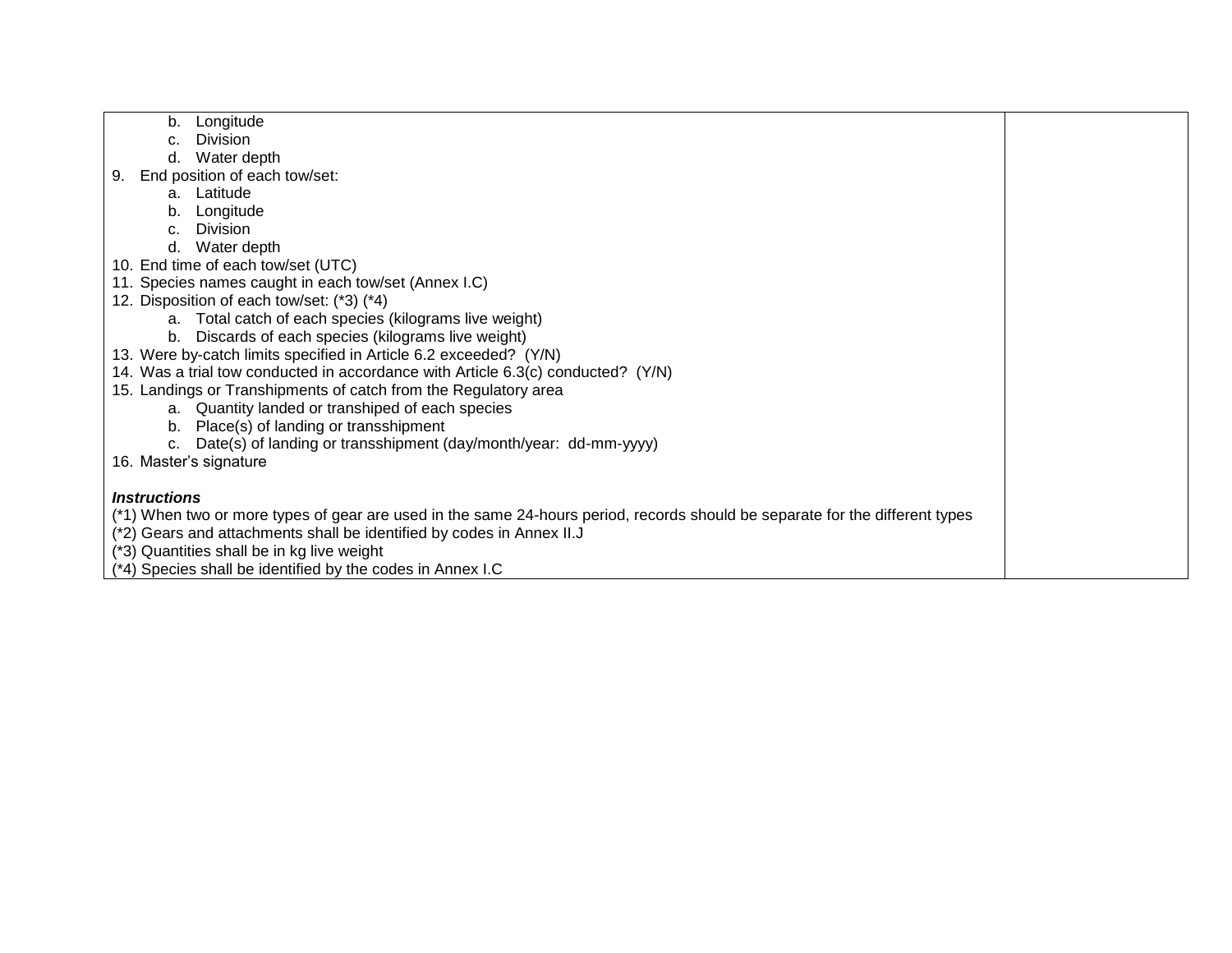- b. Longitude
- c. Division
- d. Water depth
- 9. End position of each tow/set:
	- a. Latitude
	- b. Longitude
	- c. Division
	- d. Water depth
- 10. End time of each tow/set (UTC)
- 11. Species names caught in each tow/set (Annex I.C)
- 12. Disposition of each tow/set: (\*3) (\*4)
	- a. Total catch of each species (kilograms live weight)
	- b. Discards of each species (kilograms live weight)
- 13. Were by-catch limits specified in Article 6.2 exceeded? (Y/N)
- 14. Was a trial tow conducted in accordance with Article 6.3(c) conducted? (Y/N)
- 15. Landings or Transhipments of catch from the Regulatory area
	- a. Quantity landed or transhiped of each species
	- b. Place(s) of landing or transshipment
	- c. Date(s) of landing or transshipment (day/month/year: dd-mm-yyyy)
- 16. Master's signature

#### *Instructions*

(\*1) When two or more types of gear are used in the same 24-hours period, records should be separate for the different types

- (\*2) Gears and attachments shall be identified by codes in Annex II.J
- (\*3) Quantities shall be in kg live weight
- (\*4) Species shall be identified by the codes in Annex I.C